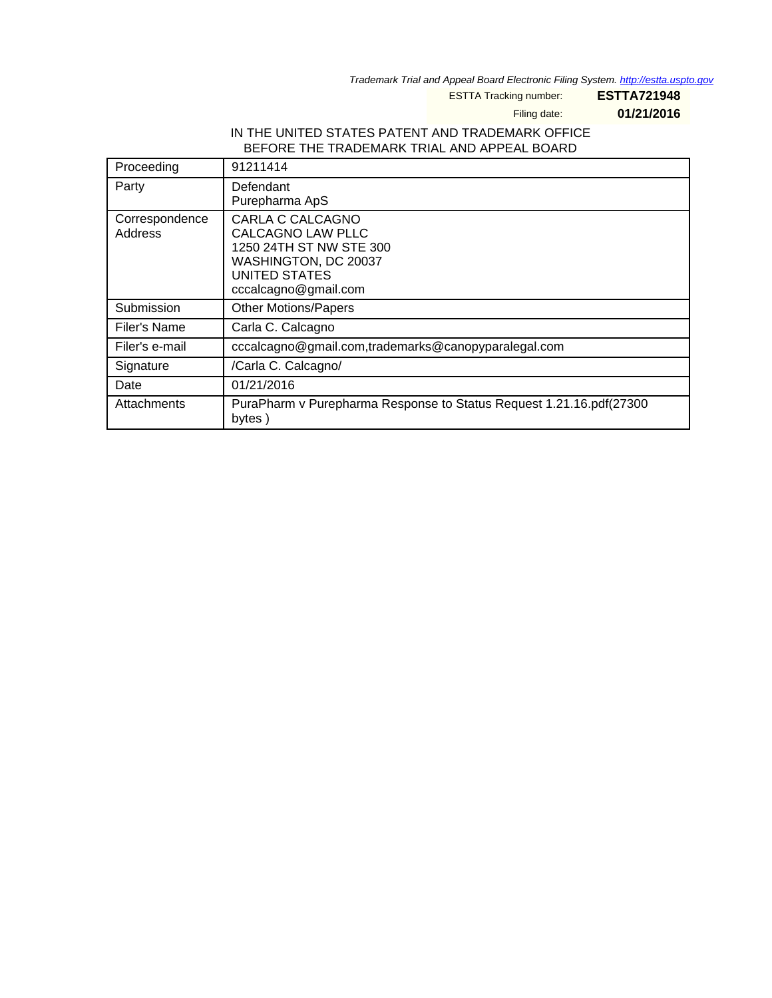Trademark Trial and Appeal Board Electronic Filing System. <http://estta.uspto.gov>

ESTTA Tracking number: **ESTTA721948**

Filing date: **01/21/2016**

#### IN THE UNITED STATES PATENT AND TRADEMARK OFFICE BEFORE THE TRADEMARK TRIAL AND APPEAL BOARD

| Proceeding                | 91211414                                                                                                                                        |
|---------------------------|-------------------------------------------------------------------------------------------------------------------------------------------------|
| Party                     | Defendant<br>Purepharma ApS                                                                                                                     |
| Correspondence<br>Address | CARLA C CALCAGNO<br><b>CALCAGNO LAW PLLC</b><br>1250 24TH ST NW STE 300<br>WASHINGTON, DC 20037<br><b>UNITED STATES</b><br>cccalcagno@gmail.com |
| Submission                | <b>Other Motions/Papers</b>                                                                                                                     |
| Filer's Name              | Carla C. Calcagno                                                                                                                               |
| Filer's e-mail            | cccalcagno@gmail.com,trademarks@canopyparalegal.com                                                                                             |
| Signature                 | /Carla C. Calcagno/                                                                                                                             |
| Date                      | 01/21/2016                                                                                                                                      |
| Attachments               | PuraPharm v Purepharma Response to Status Request 1.21.16.pdf(27300<br>bytes)                                                                   |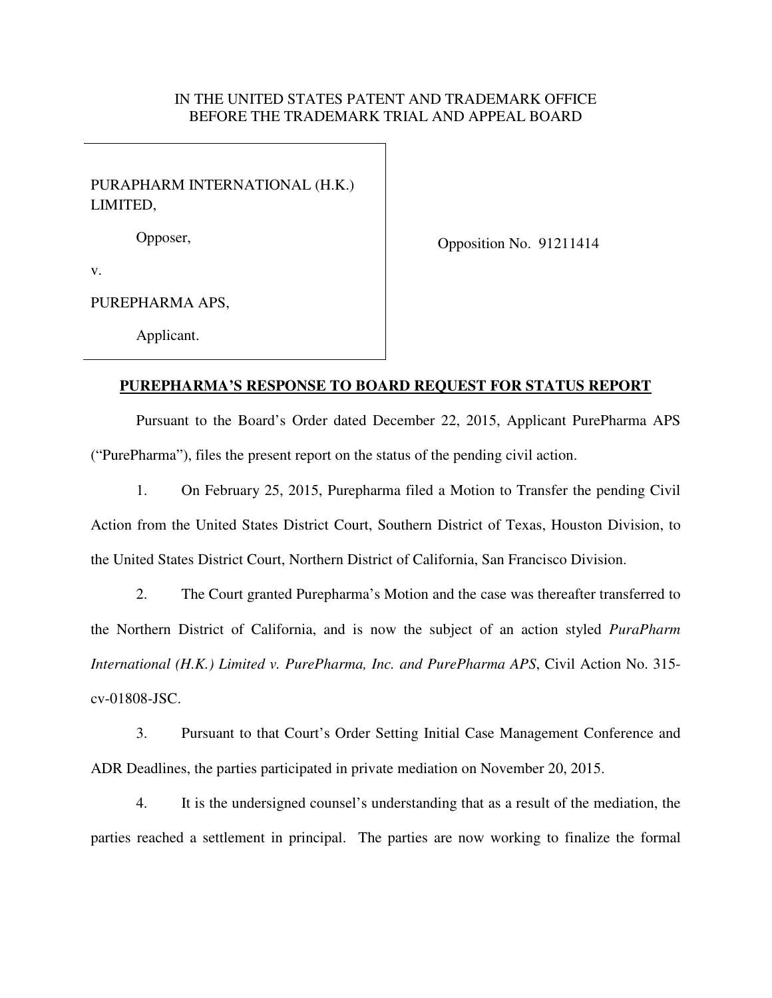### IN THE UNITED STATES PATENT AND TRADEMARK OFFICE BEFORE THE TRADEMARK TRIAL AND APPEAL BOARD

## PURAPHARM INTERNATIONAL (H.K.) LIMITED,

Opposer,

Opposition No. 91211414

v.

PUREPHARMA APS,

Applicant.

#### **PUREPHARMA'S RESPONSE TO BOARD REQUEST FOR STATUS REPORT**

Pursuant to the Board's Order dated December 22, 2015, Applicant PurePharma APS ("PurePharma"), files the present report on the status of the pending civil action.

1. On February 25, 2015, Purepharma filed a Motion to Transfer the pending Civil Action from the United States District Court, Southern District of Texas, Houston Division, to the United States District Court, Northern District of California, San Francisco Division.

2. The Court granted Purepharma's Motion and the case was thereafter transferred to the Northern District of California, and is now the subject of an action styled *PuraPharm International (H.K.) Limited v. PurePharma, Inc. and PurePharma APS*, Civil Action No. 315 cv-01808-JSC.

3. Pursuant to that Court's Order Setting Initial Case Management Conference and ADR Deadlines, the parties participated in private mediation on November 20, 2015.

4. It is the undersigned counsel's understanding that as a result of the mediation, the parties reached a settlement in principal. The parties are now working to finalize the formal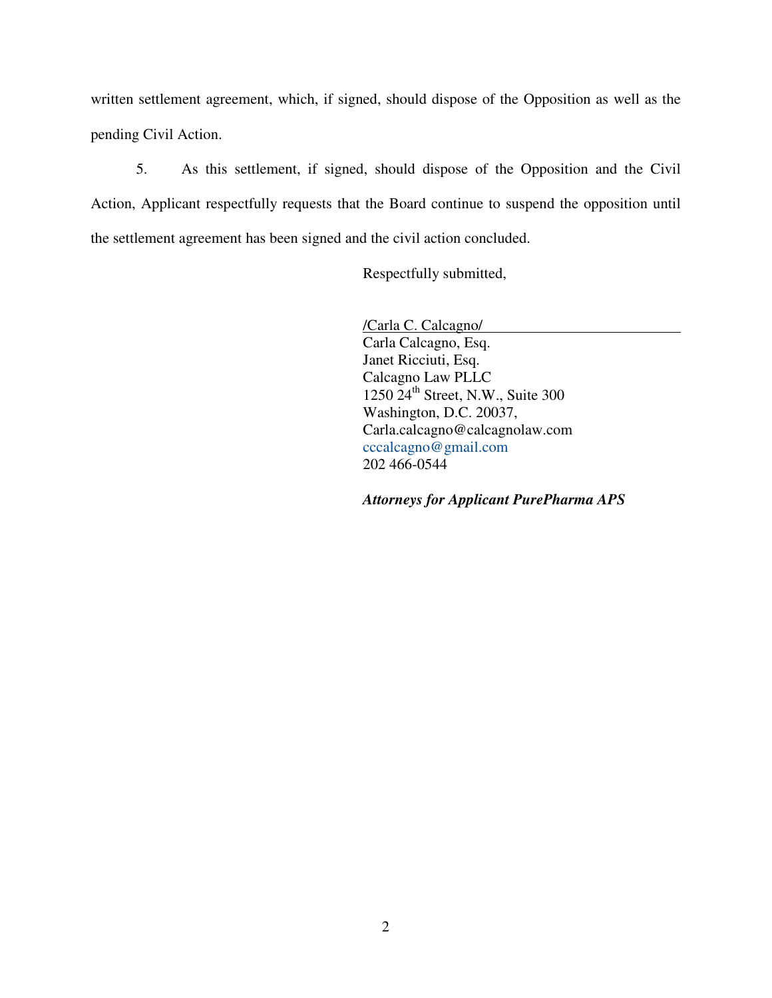written settlement agreement, which, if signed, should dispose of the Opposition as well as the pending Civil Action.

5. As this settlement, if signed, should dispose of the Opposition and the Civil Action, Applicant respectfully requests that the Board continue to suspend the opposition until the settlement agreement has been signed and the civil action concluded.

Respectfully submitted,

/Carla C. Calcagno/ Carla Calcagno, Esq. Janet Ricciuti, Esq. Calcagno Law PLLC 1250  $24^{\text{th}}$  Street, N.W., Suite 300 Washington, D.C. 20037, Carla.calcagno@calcagnolaw.com cccalcagno@gmail.com 202 466-0544

*Attorneys for Applicant PurePharma APS*